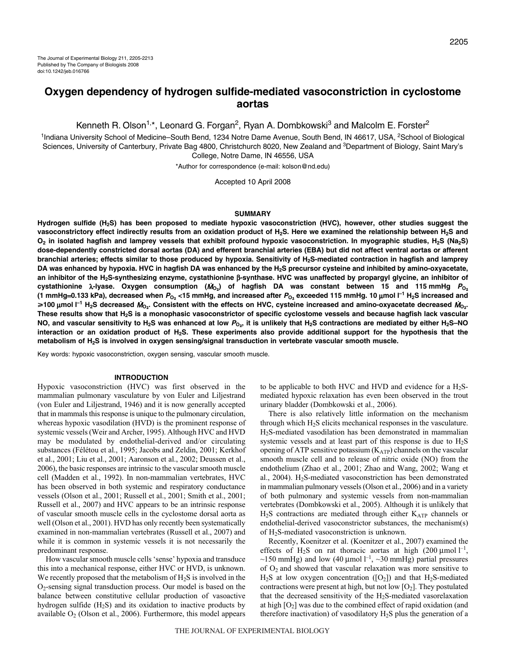# **Oxygen dependency of hydrogen sulfide-mediated vasoconstriction in cyclostome aortas**

Kenneth R. Olson<sup>1,\*</sup>, Leonard G. Forgan<sup>2</sup>, Ryan A. Dombkowski<sup>3</sup> and Malcolm E. Forster<sup>2</sup>

<sup>1</sup>Indiana University School of Medicine–South Bend, 1234 Notre Dame Avenue, South Bend, IN 46617, USA, <sup>2</sup>School of Biological Sciences, University of Canterbury, Private Bag 4800, Christchurch 8020, New Zealand and <sup>3</sup>Department of Biology, Saint Mary's College, Notre Dame, IN 46556, USA

\*Author for correspondence (e-mail: kolson@nd.edu)

Accepted 10 April 2008

### **SUMMARY**

**Hydrogen sulfide (H2S) has been proposed to mediate hypoxic vasoconstriction (HVC), however, other studies suggest the** vasoconstrictory effect indirectly results from an oxidation product of H<sub>2</sub>S. Here we examined the relationship between H<sub>2</sub>S and **O2 in isolated hagfish and lamprey vessels that exhibit profound hypoxic vasoconstriction. In myographic studies, H2S (Na2S) dose-dependently constricted dorsal aortas (DA) and efferent branchial arteries (EBA) but did not affect ventral aortas or afferent branchial arteries; effects similar to those produced by hypoxia. Sensitivity of H2S-mediated contraction in hagfish and lamprey DA was enhanced by hypoxia. HVC in hagfish DA was enhanced by the H2S precursor cysteine and inhibited by amino-oxyacetate, an inhibitor of the H2S-synthesizing enzyme, cystathionine** β**-synthase. HVC was unaffected by propargyl glycine, an inhibitor of cystathionine λ-lyase. Oxygen consumption (** $M$ **<sub>O2</sub>) of hagfish DA was constant between 15 and 115 mmHg**  $P$ **<sub>O<sub>2</sub></sub> (1·mmHg**=**0.133·kPa), decreased when PO**2 **<15·mmHg, and increased after PO**2 **exceeded 115·mmHg. 10·**μ**mol·l –1 H2S increased and** ≥100 μmol I<sup>-1</sup> H<sub>2</sub>S decreased  $M_{O_2}$ . Consistent with the effects on HVC, cysteine increased and amino-oxyacetate decreased  $M_{O_2}$ . **These results show that H2S is a monophasic vasoconstrictor of specific cyclostome vessels and because hagfish lack vascular NO, and vascular sensitivity to H2S was enhanced at low <sup>P</sup>O**2**, it is unlikely that H2S contractions are mediated by either H2S–NO interaction or an oxidation product of H2S. These experiments also provide additional support for the hypothesis that the metabolism of H2S is involved in oxygen sensing/signal transduction in vertebrate vascular smooth muscle.**

Key words: hypoxic vasoconstriction, oxygen sensing, vascular smooth muscle.

#### **INTRODUCTION**

Hypoxic vasoconstriction (HVC) was first observed in the mammalian pulmonary vasculature by von Euler and Liljestrand (von Euler and Liljestrand, 1946) and it is now generally accepted that in mammals this response is unique to the pulmonary circulation, whereas hypoxic vasodilation (HVD) is the prominent response of systemic vessels (Weir and Archer, 1995). Although HVC and HVD may be modulated by endothelial-derived and/or circulating substances (Félétou et al., 1995; Jacobs and Zeldin, 2001; Kerkhof et al., 2001; Liu et al., 2001; Aaronson et al., 2002; Deussen et al., 2006), the basic responses are intrinsic to the vascular smooth muscle cell (Madden et al., 1992). In non-mammalian vertebrates, HVC has been observed in both systemic and respiratory conductance vessels (Olson et al., 2001; Russell et al., 2001; Smith et al., 2001; Russell et al., 2007) and HVC appears to be an intrinsic response of vascular smooth muscle cells in the cyclostome dorsal aorta as well (Olson et al., 2001). HVD has only recently been systematically examined in non-mammalian vertebrates (Russell et al., 2007) and while it is common in systemic vessels it is not necessarily the predominant response.

How vascular smooth muscle cells 'sense' hypoxia and transduce this into a mechanical response, either HVC or HVD, is unknown. We recently proposed that the metabolism of  $H_2S$  is involved in the O2-sensing signal transduction process. Our model is based on the balance between constitutive cellular production of vasoactive hydrogen sulfide  $(H_2S)$  and its oxidation to inactive products by available  $O<sub>2</sub>$  (Olson et al., 2006). Furthermore, this model appears to be applicable to both HVC and HVD and evidence for a  $H<sub>2</sub>S$ mediated hypoxic relaxation has even been observed in the trout urinary bladder (Dombkowski et al., 2006).

There is also relatively little information on the mechanism through which  $H_2S$  elicits mechanical responses in the vasculature. H2S-mediated vasodilation has been demonstrated in mammalian systemic vessels and at least part of this response is due to H2S opening of ATP sensitive potassium  $(K_{ATP})$  channels on the vascular smooth muscle cell and to release of nitric oxide (NO) from the endothelium (Zhao et al., 2001; Zhao and Wang, 2002; Wang et al., 2004). H2S-mediated vasoconstriction has been demonstrated in mammalian pulmonary vessels (Olson et al., 2006) and in a variety of both pulmonary and systemic vessels from non-mammalian vertebrates (Dombkowski et al., 2005). Although it is unlikely that H<sub>2</sub>S contractions are mediated through either K<sub>ATP</sub> channels or endothelial-derived vasoconstrictor substances, the mechanism(s) of H2S-mediated vasoconstriction is unknown.

Recently, Koenitzer et al. (Koenitzer et al., 2007) examined the effects of H<sub>2</sub>S on rat thoracic aortas at high (200 µmol  $l^{-1}$ , ~150 mmHg) and low (40 µmol  $l^{-1}$ , ~30 mmHg) partial pressures of  $O_2$  and showed that vascular relaxation was more sensitive to  $H_2S$  at low oxygen concentration ([O<sub>2</sub>]) and that H<sub>2</sub>S-mediated contractions were present at high, but not low  $[O_2]$ . They postulated that the decreased sensitivity of the  $H_2S$ -mediated vasorelaxation at high  $[O_2]$  was due to the combined effect of rapid oxidation (and therefore inactivation) of vasodilatory  $H_2S$  plus the generation of a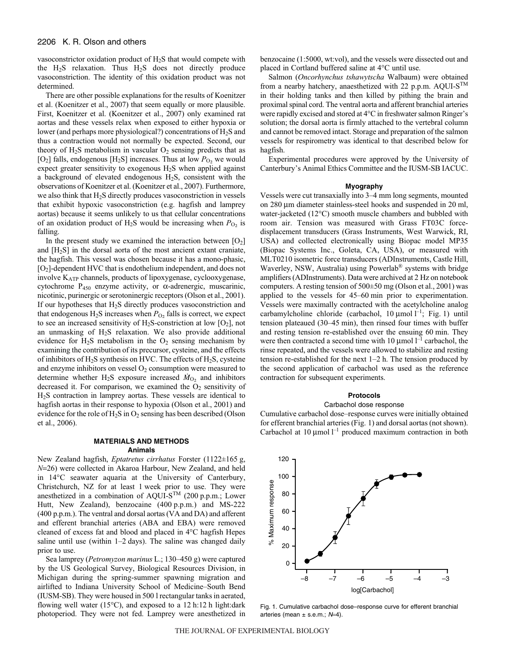vasoconstrictor oxidation product of H<sub>2</sub>S that would compete with the  $H_2S$  relaxation. Thus  $H_2S$  does not directly produce vasoconstriction. The identity of this oxidation product was not determined.

There are other possible explanations for the results of Koenitzer et al. (Koenitzer et al., 2007) that seem equally or more plausible. First, Koenitzer et al. (Koenitzer et al., 2007) only examined rat aortas and these vessels relax when exposed to either hypoxia or lower (and perhaps more physiological?) concentrations of  $H_2S$  and thus a contraction would not normally be expected. Second, our theory of  $H_2S$  metabolism in vascular  $O_2$  sensing predicts that as  $[O_2]$  falls, endogenous  $[H_2S]$  increases. Thus at low  $P_{O_2}$  we would expect greater sensitivity to exogenous H2S when applied against a background of elevated endogenous H2S, consistent with the observations of Koenitzer et al. (Koenitzer et al., 2007). Furthermore, we also think that H2S directly produces vasoconstriction in vessels that exhibit hypoxic vasoconstriction (e.g. hagfish and lamprey aortas) because it seems unlikely to us that cellular concentrations of an oxidation product of  $H_2S$  would be increasing when  $P_{O_2}$  is falling.

In the present study we examined the interaction between  $[O_2]$ and [H2S] in the dorsal aorta of the most ancient extant craniate, the hagfish. This vessel was chosen because it has a mono-phasic, [O2]-dependent HVC that is endothelium independent, and does not involve KATP channels, products of lipoxygenase, cyclooxygenase, cytochrome  $P_{450}$  enzyme activity, or  $\alpha$ -adrenergic, muscarinic, nicotinic, purinergic or serotoninergic receptors (Olson et al., 2001). If our hypotheses that H2S directly produces vasoconstriction and that endogenous  $H_2S$  increases when  $P_{O_2}$  falls is correct, we expect to see an increased sensitivity of  $H_2S$ -constriction at low [O<sub>2</sub>], not an unmasking of H2S relaxation. We also provide additional evidence for  $H_2S$  metabolism in the  $O_2$  sensing mechanism by examining the contribution of its precursor, cysteine, and the effects of inhibitors of  $H_2S$  synthesis on HVC. The effects of  $H_2S$ , cysteine and enzyme inhibitors on vessel  $O_2$  consumption were measured to determine whether H<sub>2</sub>S exposure increased  $\dot{M}_{O_2}$  and inhibitors decreased it. For comparison, we examined the  $O<sub>2</sub>$  sensitivity of H2S contraction in lamprey aortas. These vessels are identical to hagfish aortas in their response to hypoxia (Olson et al., 2001) and evidence for the role of  $H_2S$  in  $O_2$  sensing has been described (Olson et al., 2006).

# **MATERIALS AND METHODS Animals**

New Zealand hagfish, *Eptatretus cirrhatus* Forster (1122±165·g, *N*=26) were collected in Akaroa Harbour, New Zealand, and held in 14°C seawater aquaria at the University of Canterbury, Christchurch, NZ for at least 1 week prior to use. They were anesthetized in a combination of AQUI-S<sup>TM</sup> (200 p.p.m.; Lower Hutt, New Zealand), benzocaine (400 p.p.m.) and MS-222 (400 p.p.m.). The ventral and dorsal aortas (VA and DA) and afferent and efferent branchial arteries (ABA and EBA) were removed cleaned of excess fat and blood and placed in 4°C hagfish Hepes saline until use (within  $1-2$  days). The saline was changed daily prior to use.

Sea lamprey (*Petromyzon marinus* L.; 130–450 g) were captured by the US Geological Survey, Biological Resources Division, in Michigan during the spring-summer spawning migration and airlifted to Indiana University School of Medicine–South Bend (IUSM-SB). They were housed in 500 l rectangular tanks in aerated, flowing well water (15 $^{\circ}$ C), and exposed to a 12 h:12 h light:dark photoperiod. They were not fed. Lamprey were anesthetized in benzocaine (1:5000, wt:vol), and the vessels were dissected out and placed in Cortland buffered saline at 4°C until use.

Salmon (*Oncorhynchus tshawytscha* Walbaum) were obtained from a nearby hatchery, anaesthetized with 22 p.p.m. AQUI-S<sup>TM</sup> in their holding tanks and then killed by pithing the brain and proximal spinal cord. The ventral aorta and afferent branchial arteries were rapidly excised and stored at 4°C in freshwater salmon Ringer's solution; the dorsal aorta is firmly attached to the vertebral column and cannot be removed intact. Storage and preparation of the salmon vessels for respirometry was identical to that described below for hagfish.

Experimental procedures were approved by the University of Canterbury's Animal Ethics Committee and the IUSM-SB IACUC.

#### **Myography**

Vessels were cut transaxially into 3–4 mm long segments, mounted on 280 μm diameter stainless-steel hooks and suspended in 20 ml, water-jacketed (12°C) smooth muscle chambers and bubbled with room air. Tension was measured with Grass FT03C forcedisplacement transducers (Grass Instruments, West Warwick, RI, USA) and collected electronically using Biopac model MP35 (Biopac Systems Inc., Goleta, CA, USA), or measured with MLT0210 isometric force transducers (ADInstruments, Castle Hill, Waverley, NSW, Australia) using Powerlab® systems with bridge amplifiers (ADInstruments). Data were archived at 2 Hz on notebook computers. A resting tension of  $500\pm50$  mg (Olson et al., 2001) was applied to the vessels for 45–60 min prior to experimentation. Vessels were maximally contracted with the acetylcholine analog carbamylcholine chloride (carbachol,  $10 \mu$ mol  $l^{-1}$ ; Fig. 1) until tension plateaued (30–45 min), then rinsed four times with buffer and resting tension re-established over the ensuing 60 min. They were then contracted a second time with 10  $\mu$ mol l<sup>-1</sup> carbachol, the rinse repeated, and the vessels were allowed to stabilize and resting tension re-established for the next  $1-2$  h. The tension produced by the second application of carbachol was used as the reference contraction for subsequent experiments.

# **Protocols**

#### Carbachol dose response

Cumulative carbachol dose–response curves were initially obtained for efferent branchial arteries (Fig. 1) and dorsal aortas (not shown). Carbachol at 10  $\mu$ mol  $l^{-1}$  produced maximum contraction in both



Fig. 1. Cumulative carbachol dose–response curve for efferent branchial arteries (mean  $\pm$  s.e.m.;  $N=4$ ).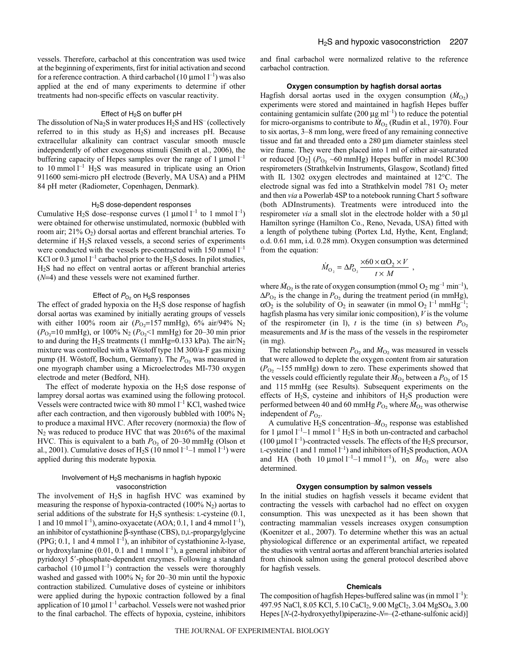vessels. Therefore, carbachol at this concentration was used twice at the beginning of experiments, first for initial activation and second for a reference contraction. A third carbachol (10  $\mu$ mol<sup>-1</sup>) was also applied at the end of many experiments to determine if other treatments had non-specific effects on vascular reactivity.

#### Effect of  $H_2S$  on buffer pH

The dissolution of Na<sub>2</sub>S in water produces  $H_2S$  and  $HS^-$  (collectively referred to in this study as  $H_2S$ ) and increases pH. Because extracellular alkalinity can contract vascular smooth muscle independently of other exogenous stimuli (Smith et al., 2006), the buffering capacity of Hepes samples over the range of 1 µmol  $l^{-1}$ to 10 mmol  $l^{-1}$  H<sub>2</sub>S was measured in triplicate using an Orion 911600 semi-micro pH electrode (Beverly, MA USA) and a PHM 84 pH meter (Radiometer, Copenhagen, Denmark).

#### H2S dose-dependent responses

Cumulative H<sub>2</sub>S dose–response curves  $(1 \text{ \mu} \text{mol } l^{-1} \text{ to } 1 \text{ mmol } l^{-1})$ were obtained for otherwise unstimulated, normoxic (bubbled with room air; 21% O<sub>2</sub>) dorsal aortas and efferent branchial arteries. To determine if H2S relaxed vessels, a second series of experiments were conducted with the vessels pre-contracted with  $150$  mmol  $l^{-1}$ KCl or 0.3  $\mu$ mol l<sup>-1</sup> carbachol prior to the H<sub>2</sub>S doses. In pilot studies, H2S had no effect on ventral aortas or afferent branchial arteries (*N*=4) and these vessels were not examined further.

## Effect of  $P_{O_2}$  on H<sub>2</sub>S responses

The effect of graded hypoxia on the H2S dose response of hagfish dorsal aortas was examined by initially aerating groups of vessels with either 100% room air  $(P_{O_2} = 157 \text{ mmHg})$ , 6% air/94% N<sub>2</sub>  $(P_{O_2}=10~\text{mmHg})$ , or 100% N<sub>2</sub> ( $P_{O_2}<1~\text{mmHg}$ ) for 20–30 min prior to and during the H<sub>2</sub>S treatments (1 mmHg=0.133 kPa). The air/N<sub>2</sub> mixture was controlled with a Wöstoff type 1M 300/a-F gas mixing pump (H. Wöstoff, Bochum, Germany). The  $P_{O_2}$  was measured in one myograph chamber using a Microelectrodes MI-730 oxygen electrode and meter (Bedford, NH).

The effect of moderate hypoxia on the  $H<sub>2</sub>S$  dose response of lamprey dorsal aortas was examined using the following protocol. Vessels were contracted twice with 80 mmol  $l^{-1}$  KCl, washed twice after each contraction, and then vigorously bubbled with  $100\%$  N<sub>2</sub> to produce a maximal HVC. After recovery (normoxia) the flow of  $N_2$  was reduced to produce HVC that was 20 $\pm$ 6% of the maximal HVC. This is equivalent to a bath  $P<sub>O2</sub>$  of 20–30 mmHg (Olson et al., 2001). Cumulative doses of  $H_2S$  (10 nmol  $l^{-1}$ –1 mmol  $l^{-1}$ ) were applied during this moderate hypoxia*.*

# Involvement of  $H_2S$  mechanisms in hagfish hypoxic vasoconstriction

The involvement of  $H<sub>2</sub>S$  in hagfish HVC was examined by measuring the response of hypoxia-contracted  $(100\% \text{ N}_2)$  aortas to serial additions of the substrate for  $H_2S$  synthesis: L-cysteine (0.1, 1 and 10 mmol  $l^{-1}$ ), amino-oxyacetate (AOA; 0.1, 1 and 4 mmol  $l^{-1}$ ), an inhibitor of cystathionine β-synthase (CBS), D,L-propargylglycine (PPG; 0.1, 1 and 4 mmol  $l^{-1}$ ), an inhibitor of cystathionine  $\lambda$ -lyase, or hydroxylamine (0.01, 0.1 and 1 mmol  $l^{-1}$ ), a general inhibitor of pyridoxyl 5'-phosphate-dependent enzymes. Following a standard carbachol  $(10 \mu \text{mol} \, \text{l}^{-1})$  contraction the vessels were thoroughly washed and gassed with  $100\%$  N<sub>2</sub> for 20–30 min until the hypoxic contraction stabilized. Cumulative doses of cysteine or inhibitors were applied during the hypoxic contraction followed by a final application of 10  $\mu$ mol  $l^{-1}$  carbachol. Vessels were not washed prior to the final carbachol. The effects of hypoxia, cysteine, inhibitors and final carbachol were normalized relative to the reference carbachol contraction.

## **Oxygen consumption by hagfish dorsal aortas**

Hagfish dorsal aortas used in the oxygen consumption  $(M<sub>O</sub>)$ experiments were stored and maintained in hagfish Hepes buffer containing gentamicin sulfate (200  $\mu$ g ml<sup>-1</sup>) to reduce the potential for micro-organisms to contribute to  $\dot{M}_{O_2}$  (Rudin et al., 1970). Four to six aortas, 3–8 mm long, were freed of any remaining connective tissue and fat and threaded onto a 280 μm diameter stainless steel wire frame. They were then placed into 1 ml of either air-saturated or reduced  $[O_2]$  ( $P_{O_2}$  ~60 mmHg) Hepes buffer in model RC300 respirometers (Strathkelvin Instruments, Glasgow, Scotland) fitted with IL 1302 oxygen electrodes and maintained at 12°C. The electrode signal was fed into a Strathkelvin model 781 O<sub>2</sub> meter and then *via* a Powerlab 4SP to a notebook running Chart 5 software (both ADInstruments). Treatments were introduced into the respirometer *via* a small slot in the electrode holder with a 50 μl Hamilton syringe (Hamilton Co., Reno, Nevada, USA) fitted with a length of polythene tubing (Portex Ltd, Hythe, Kent, England; o.d. 0.61 mm, i.d. 0.28 mm). Oxygen consumption was determined from the equation:

$$
\dot{M}_{\text{O}_2} = \Delta P_{\text{O}_2} \frac{\times 60 \times \alpha \text{O}_2 \times V}{t \times M} ,
$$

where  $\dot{M}_{\text{O}_2}$  is the rate of oxygen consumption (mmol  $\text{O}_2$  mg<sup>-1</sup> min<sup>-1</sup>),  $\Delta P_{\text{O}_2}$  is the change in  $P_{\text{O}_2}$  during the treatment period (in mmHg),  $\alpha$ O<sub>2</sub> is the solubility of O<sub>2</sub> in seawater (in mmol O<sub>2</sub> l<sup>-1</sup> mmHg<sup>-1</sup>; hagfish plasma has very similar ionic composition),*V* is the volume of the respirometer (in 1), *t* is the time (in s) between  $P_{O_2}$ measurements and *M* is the mass of the vessels in the respirometer (in mg).

The relationship between  $P_{\text{O}_2}$  and  $\dot{M}_{\text{O}_2}$  was measured in vessels that were allowed to deplete the oxygen content from air saturation  $(P_{O_2} \sim 155$  mmHg) down to zero. These experiments showed that the vessels could efficiently regulate their  $\dot{M}_{O_2}$  between a  $P_{O_2}$  of 15 and 115 mmHg (see Results). Subsequent experiments on the effects of H<sub>2</sub>S, cysteine and inhibitors of H<sub>2</sub>S production were performed between 40 and 60 mmHg  $P_{\text{O}_2}$  where  $\dot{M}_{\text{O}_2}$  was otherwise independent of  $P_{\text{O}_2}$ .

A cumulative H<sub>2</sub>S concentration– $\dot{M}_{\text{O}_2}$  response was established for 1 µmol  $l^{-1}$ –1 mmol  $l^{-1}$  H<sub>2</sub>S in both un-contracted and carbachol (100  $\mu$ mol  $l^{-1}$ )-contracted vessels. The effects of the H<sub>2</sub>S precursor, L-cysteine (1 and 1 mmol  $l^{-1}$ ) and inhibitors of H<sub>2</sub>S production, AOA and HA (both 10  $\mu$ mol<sup>1-1</sup>-1 mmol<sup>1-1</sup>), on  $\dot{M}_{O_2}$  were also determined.

## **Oxygen consumption by salmon vessels**

In the initial studies on hagfish vessels it became evident that contracting the vessels with carbachol had no effect on oxygen consumption. This was unexpected as it has been shown that contracting mammalian vessels increases oxygen consumption (Koenitzer et al., 2007). To determine whether this was an actual physiological difference or an experimental artifact, we repeated the studies with ventral aortas and afferent branchial arteries isolated from chinook salmon using the general protocol described above for hagfish vessels.

#### **Chemicals**

The composition of hagfish Hepes-buffered saline was (in mmol  $l^{-1}$ ): 497.95 NaCl, 8.05 KCl, 5.10 CaCl<sub>2</sub>, 9.00 MgCl<sub>2</sub>, 3.04 MgSO<sub>4</sub>, 3.00 Hepes [*N*-(2-hydroxyethyl)piperazine-*N*=–(2-ethane-sulfonic acid)]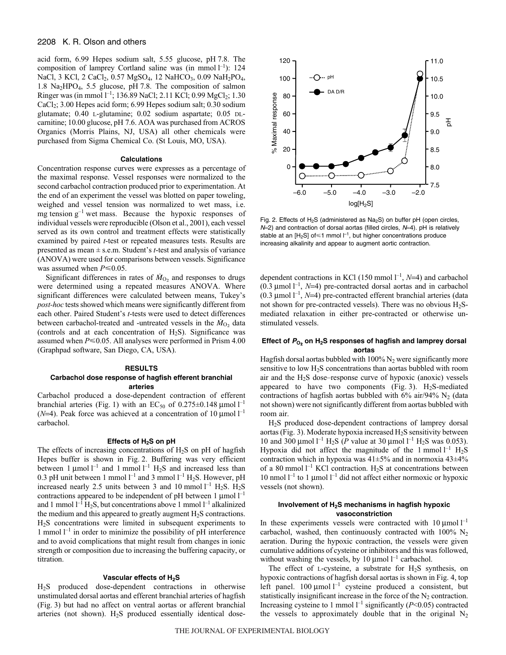# 2208 K. R. Olson and others

acid form, 6.99 Hepes sodium salt, 5.55 glucose, pH 7.8. The composition of lamprey Cortland saline was (in mmol  $l^{-1}$ ): 124 NaCl, 3 KCl, 2 CaCl<sub>2</sub>, 0.57 MgSO<sub>4</sub>, 12 NaHCO<sub>3</sub>, 0.09 NaH<sub>2</sub>PO<sub>4</sub>, 1.8 Na<sub>2</sub>HPO<sub>4</sub>, 5.5 glucose, pH 7.8. The composition of salmon Ringer was (in mmol 1<sup>-1</sup>; 136.89 NaCl; 2.11 KCl; 0.99 MgCl<sub>2</sub>; 1.30 CaCl2; 3.00 Hepes acid form; 6.99 Hepes sodium salt; 0.30 sodium glutamate; 0.40 L-glutamine; 0.02 sodium aspartate; 0.05 DLcarnitine; 10.00 glucose, pH 7.6. AOA was purchased from ACROS Organics (Morris Plains, NJ, USA) all other chemicals were purchased from Sigma Chemical Co. (St Louis, MO, USA).

# **Calculations**

Concentration response curves were expresses as a percentage of the maximal response. Vessel responses were normalized to the second carbachol contraction produced prior to experimentation. At the end of an experiment the vessel was blotted on paper toweling, weighed and vessel tension was normalized to wet mass, i.e. mg tension  $g^{-1}$  wet mass. Because the hypoxic responses of individual vessels were reproducible (Olson et al., 2001), each vessel served as its own control and treatment effects were statistically examined by paired *t*-test or repeated measures tests. Results are presented as mean ± s.e.m. Student's *t*-test and analysis of variance (ANOVA) were used for comparisons between vessels. Significance was assumed when  $P \le 0.05$ .

Significant differences in rates of  $\dot{M}_{O_2}$  and responses to drugs were determined using a repeated measures ANOVA. Where significant differences were calculated between means, Tukey's *post-hoc* tests showed which means were significantly different from each other. Paired Student's *t*-tests were used to detect differences between carbachol-treated and -untreated vessels in the  $\dot{M}_{O_2}$  data (controls and at each concentration of  $H_2S$ ). Significance was assumed when  $P \le 0.05$ . All analyses were performed in Prism 4.00 (Graphpad software, San Diego, CA, USA).

## **RESULTS Carbachol dose response of hagfish efferent branchial arteries**

Carbachol produced a dose-dependent contraction of efferent branchial arteries (Fig. 1) with an EC<sub>50</sub> of 0.275 $\pm$ 0.148 µmol<sup>-1</sup> ( $N=4$ ). Peak force was achieved at a concentration of 10 µmol<sup>-1</sup> carbachol carbachol.

# **Effects of H2S on pH**

The effects of increasing concentrations of  $H_2S$  on pH of hagfish Hepes buffer is shown in Fig. 2. Buffering was very efficient between 1  $\mu$ mol<sup>-1</sup> and 1 mmol<sup>-1</sup> H<sub>2</sub>S and increased less than 0.3 pH unit between 1 mmol  $l^{-1}$  and 3 mmol  $l^{-1}$  H<sub>2</sub>S. However, pH increased nearly 2.5 units between 3 and 10 mmol  $l^{-1}$  H<sub>2</sub>S. H<sub>2</sub>S contractions appeared to be independent of pH between 1  $\mu$ mol  $l^{-1}$ and 1 mmol  $l^{-1}$  H<sub>2</sub>S, but concentrations above 1 mmol  $l^{-1}$  alkalinized the medium and this appeared to greatly augment  $H_2S$  contractions. H2S concentrations were limited in subsequent experiments to 1 mmol  $l^{-1}$  in order to minimize the possibility of pH interference and to avoid complications that might result from changes in ionic strength or composition due to increasing the buffering capacity, or titration.

#### **Vascular effects of H2S**

H2S produced dose-dependent contractions in otherwise unstimulated dorsal aortas and efferent branchial arteries of hagfish (Fig. 3) but had no affect on ventral aortas or afferent branchial arteries (not shown).  $H_2S$  produced essentially identical dose-



Fig. 2. Effects of  $H_2S$  (administered as  $Na_2S$ ) on buffer pH (open circles,  $N=2$ ) and contraction of dorsal aortas (filled circles,  $N=4$ ). pH is relatively stable at an [H<sub>2</sub>S] of  $\leq$ 1 mmol  $I^{-1}$ , but higher concentrations produce increasing alkalinity and appear to augment aortic contraction.

dependent contractions in KCl (150 mmol<sup>1-1</sup>, *N*=4) and carbachol<br>(0.3 umol<sup>1-1</sup>, *N*=4) pre-contracted dorsal aortas and in carbachol  $(0.3 \text{ µmol l}^{-1}, N=4)$  pre-contracted dorsal aortas and in carbachol<br> $(0.3 \text{ µmol l}^{-1}, N=4)$  pre-contracted efferent branchial arteries (data  $(0.3 \text{ µmol I}^{-1}, N=4)$  pre-contracted efferent branchial arteries (data<br>not shown for pre-contracted vessels). There was no obvious H<sub>2</sub>Snot shown for pre-contracted vessels). There was no obvious  $H_2S$ mediated relaxation in either pre-contracted or otherwise unstimulated vessels.

# Effect of  $P_{O_2}$  on H<sub>2</sub>S responses of hagfish and lamprey dorsal **aortas**

Hagfish dorsal aortas bubbled with  $100\%$  N<sub>2</sub> were significantly more sensitive to low H2S concentrations than aortas bubbled with room air and the  $H_2S$  dose–response curve of hypoxic (anoxic) vessels appeared to have two components (Fig. 3).  $H_2S$ -mediated contractions of hagfish aortas bubbled with  $6\%$  air/94% N<sub>2</sub> (data not shown) were not significantly different from aortas bubbled with room air.

H2S produced dose-dependent contractions of lamprey dorsal aortas (Fig. 3). Moderate hypoxia increased  $H_2S$  sensitivity between 10 and 300  $\mu$ mol<sup>-1</sup> H<sub>2</sub>S (*P* value at 30  $\mu$ mol<sup>-1</sup> H<sub>2</sub>S was 0.053).<br>Hypoxia did not affect the magnitude of the 1 mmol<sup>-1</sup> H<sub>2</sub>S Hypoxia did not affect the magnitude of the 1 mmol  $l^{-1}$  H<sub>2</sub>S contraction which in hypoxia was 41±5% and in normoxia 43±4% of a 80 mmol  $l^{-1}$  KCl contraction. H<sub>2</sub>S at concentrations between 10 nmol<sup>1-1</sup> to 1 μmol<sup>1-1</sup> did not affect either normoxic or hypoxic vessels (not shown).

# **Involvement of H2S mechanisms in hagfish hypoxic vasoconstriction**

In these experiments vessels were contracted with  $10 \mu$ mol<sup>-1</sup> carbachol, washed, then continuously contracted with  $100\%$  N<sub>2</sub> aeration. During the hypoxic contraction, the vessels were given cumulative additions of cysteine or inhibitors and this was followed, without washing the vessels, by 10  $\mu$ mol  $l^{-1}$  carbachol.

The effect of L-cysteine, a substrate for  $H_2S$  synthesis, on hypoxic contractions of hagfish dorsal aortas is shown in Fig. 4, top left panel.  $100 \mu$ mol  $l^{-1}$  cysteine produced a consistent, but statistically insignificant increase in the force of the  $N_2$  contraction. Increasing cysteine to 1 mmol  $l^{-1}$  significantly  $(l<sup>2</sup><0.05)$  contracted<br>the vessels to approximately double that in the original N<sub>2</sub> the vessels to approximately double that in the original  $N_2$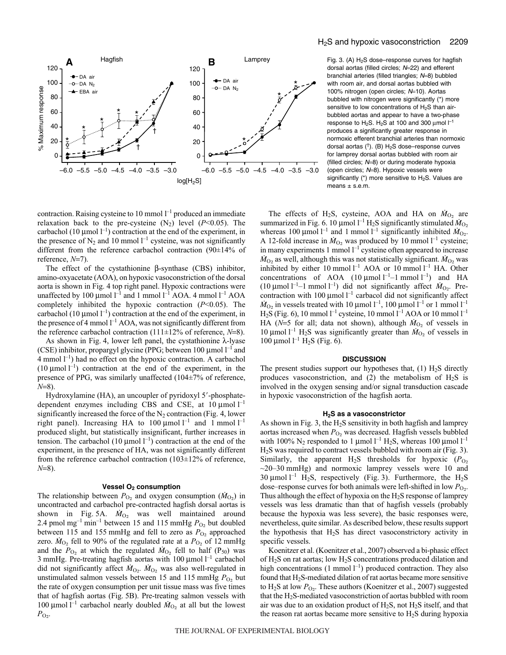

contraction. Raising cysteine to 10 mmol  $l^{-1}$  produced an immediate relaxation back to the pre-cysteine  $(N_2)$  level  $(P<0.05)$ . The carbachol (10  $\mu$ mol l<sup>-1</sup>) contraction at the end of the experiment, in the presence of  $N_2$  and 10 mmol  $l^{-1}$  cysteine, was not significantly different from the reference carbachol contraction (90±14% of reference, *N*=7).

The effect of the cystathionine β-synthase (CBS) inhibitor, amino-oxyacetate (AOA), on hypoxic vasoconstriction of the dorsal aorta is shown in Fig. 4 top right panel. Hypoxic contractions were unaffected by 100 µmol  $l^{-1}$  and 1 mmol  $l^{-1}$  AOA. 4 mmol  $l^{-1}$  AOA completely inhibited the hypoxic contraction (*P*<0.05). The carbachol (10  $\mu$ mol l<sup>-1</sup>) contraction at the end of the experiment, in the presence of 4 mmol  $l^{-1}$  AOA, was not significantly different from the reference carbachol contraction (111±12% of reference, *N*=8).

As shown in Fig. 4, lower left panel, the cystathionine  $\lambda$ -lyase (CSE) inhibitor, propargyl glycine (PPG; between 100  $\mu$ mol  $l^{-1}$  and 4 mmol  $l^{-1}$ ) had no effect on the hypoxic contraction. A carbachol (10  $\mu$ mol l<sup>-1</sup>) contraction at the end of the experiment, in the presence of PPG, was similarly unaffected (104±7% of reference, *N*=8).

Hydroxylamine (HA), an uncoupler of pyridoxyl 5'-phosphatedependent enzymes including CBS and CSE, at  $10 \mu$ mol<sup>1-1</sup> significantly increased the force of the  $N_2$  contraction (Fig. 4, lower right panel). Increasing HA to 100  $\mu$ mol  $l^{-1}$  and 1 mmol  $l^{-1}$ produced slight, but statistically insignificant, further increases in tension. The carbachol (10  $\mu$ mol  $l^{-1}$ ) contraction at the end of the experiment, in the presence of HA, was not significantly different from the reference carbachol contraction (103±12% of reference, *N*=8).

## **Vessel O<sub>2</sub> consumption**

The relationship between  $P_{\text{O}_2}$  and oxygen consumption ( $\dot{M}_{\text{O}_2}$ ) in uncontracted and carbachol pre-contracted hagfish dorsal aortas is shown in Fig. 5A.  $\dot{M}_{O_2}$  was well maintained around 2.4 pmol mg<sup>-1</sup> min<sup>-1</sup> between 15 and 115 mmHg  $P_{\text{O}_2}$  but doubled between 115 and 155 mmHg and fell to zero as  $P_{O_2}$  approached zero.  $\dot{M}_{\text{O}_2}$  fell to 90% of the regulated rate at a  $P_{\text{O}_2}$  of 12 mmHg and the  $P_{\text{O}_2}$  at which the regulated  $\dot{M}_{\text{O}_2}$  fell to half (P<sub>50</sub>) was 3 mmHg. Pre-treating hagfish aortas with  $100 \mu$ mol  $l^{-1}$  carbachol did not significantly affect  $\dot{M}_{O_2}$ .  $\dot{M}_{O_2}$  was also well-regulated in unstimulated salmon vessels between 15 and 115 mmHg  $P_{O_2}$  but the rate of oxygen consumption per unit tissue mass was five times that of hagfish aortas (Fig. 5B). Pre-treating salmon vessels with 100 μmol<sup>1-1</sup> carbachol nearly doubled  $M<sub>O<sub>2</sub></sub>$  at all but the lowest  $P_{O_2}$ .

**B** Lamprey **A B** Fig. 3. (A) H<sub>2</sub>S dose–response curves for hagfish dorsal aortas (filled circles; N=22) and efferent branchial arteries (filled triangles; N=8) bubbled with room air, and dorsal aortas bubbled with 100% nitrogen (open circles; N=10). Aortas bubbled with nitrogen were significantly (\*) more sensitive to low concentrations of  $H_2S$  than airbubbled aortas and appear to have a two-phase response to  $H_2S$ .  $H_2S$  at 100 and 300  $\mu$ mol  $\Gamma^1$ produces a significantly greater response in normoxic efferent branchial arteries than normoxic dorsal aortas (†). (B)  $H_2S$  dose-response curves for lamprey dorsal aortas bubbled with room air (filled circles; N=8) or during moderate hypoxia (open circles; N=8). Hypoxic vessels were significantly ( $*$ ) more sensitive to  $H_2S$ . Values are means  $\pm$  s.e.m.

> The effects of H<sub>2</sub>S, cysteine, AOA and HA on  $\dot{M}_{O_2}$  are summarized in Fig. 6. 10 µmol  $l^{-1}$  H<sub>2</sub>S significantly stimulated  $\dot{M}_{O_2}$ whereas 100 µmol<sup> $-1$ </sup> and 1 mmol<sup>-1</sup> significantly inhibited  $\dot{M}_{02}$ . A 12-fold increase in  $\dot{M}_{O_2}$  was produced by 10 mmol<sup>-1</sup> cysteine; in many experiments 1 mmol  $l^{-1}$  cysteine often appeared to increase  $M_{\text{O}_2}$  as well, although this was not statistically significant.  $M_{\text{O}_2}$  was inhibited by either 10 mmol  $l^{-1}$  AOA or 10 mmol  $l^{-1}$  HA. Other concentrations of AOA  $(10 \mu \text{mol l}^{-1} - 1 \text{mmol l}^{-1})$  and HA (10  $\mu$ mol<sup>-1</sup>–1 mmol<sup>-1</sup>) did not significantly affect  $\dot{M}_{O_2}$ . Precontraction with 100  $\mu$ mol<sup>-1</sup> carbacol did not significantly affect  $\dot{M}_{\text{O}_2}$  in vessels treated with 10 µmol  $l^{-1}$ , 100 µmol  $l^{-1}$  or 1 mmol  $l^{-1}$  $H_2S$  (Fig. 6), 10 mmol  $l^{-1}$  cysteine, 10 mmol  $l^{-1}$  AOA or 10 mmol  $l^{-1}$ HA ( $N=5$  for all; data not shown), although  $\dot{M}_{O_2}$  of vessels in 10 μmol<sup>-1</sup> H<sub>2</sub>S was significantly greater than  $M<sub>O2</sub>$  of vessels in  $100 \mu$ mol l<sup>-1</sup> H<sub>2</sub>S (Fig. 6).

#### **DISCUSSION**

The present studies support our hypotheses that,  $(1)$  H<sub>2</sub>S directly produces vasoconstriction, and (2) the metabolism of  $H_2S$  is involved in the oxygen sensing and/or signal transduction cascade in hypoxic vasoconstriction of the hagfish aorta.

#### **H2S as a vasoconstrictor**

As shown in Fig. 3, the  $H_2S$  sensitivity in both hagfish and lamprey aortas increased when  $P_{\text{O}_2}$  was decreased. Hagfish vessels bubbled with 100%  $N_2$  responded to 1 µmol  $l^{-1}$  H<sub>2</sub>S, whereas 100 µmol  $l^{-1}$  $H<sub>2</sub>S$  was required to contract vessels bubbled with room air (Fig. 3). Similarly, the apparent  $H_2S$  thresholds for hypoxic  $(P_{O_2})$  $\sim$ 20–30 mmHg) and normoxic lamprey vessels were 10 and 30  $\mu$ mol l<sup>-1</sup> H<sub>2</sub>S, respectively (Fig. 3). Furthermore, the H<sub>2</sub>S dose–response curves for both animals were left-shifted in low  $P_{\text{O}_2}$ . Thus although the effect of hypoxia on the  $H_2S$  response of lamprey vessels was less dramatic than that of hagfish vessels (probably because the hypoxia was less severe), the basic responses were, nevertheless, quite similar. As described below, these results support the hypothesis that  $H_2S$  has direct vasoconstrictory activity in specific vessels.

Koenitzer et al. (Koenitzer et al., 2007) observed a bi-phasic effect of  $H_2$ S on rat aortas; low  $H_2$ S concentrations produced dilation and high concentrations  $(1 \text{ mmol } l^{-1})$  produced contraction. They also found that H2S-mediated dilation of rat aortas became more sensitive to  $H_2S$  at low  $P_{Q_2}$ . These authors (Koenitzer et al., 2007) suggested that the  $H_2$ S-mediated vasoconstriction of aortas bubbled with room air was due to an oxidation product of  $H_2S$ , not  $H_2S$  itself, and that the reason rat aortas became more sensitive to  $H_2S$  during hypoxia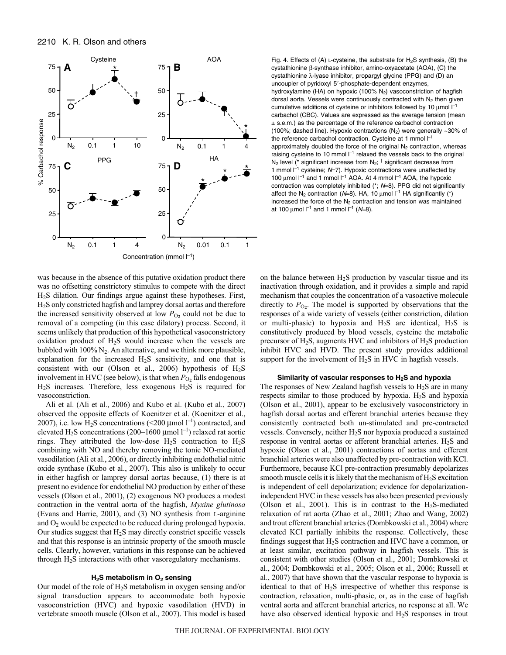

was because in the absence of this putative oxidation product there was no offsetting constrictory stimulus to compete with the direct H2S dilation. Our findings argue against these hypotheses. First, H2S only constricted hagfish and lamprey dorsal aortas and therefore the increased sensitivity observed at low  $P_{\text{O}_2}$  could not be due to removal of a competing (in this case dilatory) process. Second, it seems unlikely that production of this hypothetical vasoconstrictory oxidation product of H2S would increase when the vessels are bubbled with  $100\%$  N<sub>2</sub>. An alternative, and we think more plausible, explanation for the increased H2S sensitivity, and one that is consistent with our (Olson et al., 2006) hypothesis of  $H_2S$ involvement in HVC (see below), is that when  $P_{\text{O}_2}$  falls endogenous H2S increases. Therefore, less exogenous H2S is required for vasoconstriction.

Ali et al. (Ali et al., 2006) and Kubo et al. (Kubo et al., 2007) observed the opposite effects of Koenitzer et al. (Koenitzer et al., 2007), i.e. low  $\hat{H}_2$ S concentrations (<200 µmol  $l^{-1}$ ) contracted, and elevated H<sub>2</sub>S concentrations (200–1600 µmol  $l^{-1}$ ) relaxed rat aortic rings. They attributed the low-dose  $H_2S$  contraction to  $H_2S$ combining with NO and thereby removing the tonic NO-mediated vasodilation (Ali et al., 2006), or directly inhibiting endothelial nitric oxide synthase (Kubo et al., 2007). This also is unlikely to occur in either hagfish or lamprey dorsal aortas because, (1) there is at present no evidence for endothelial NO production by either of these vessels (Olson et al., 2001), (2) exogenous NO produces a modest contraction in the ventral aorta of the hagfish, *Myxine glutinosa* (Evans and Harrie, 2001), and (3) NO synthesis from L-arginine and O2 would be expected to be reduced during prolonged hypoxia. Our studies suggest that  $H_2S$  may directly constrict specific vessels and that this response is an intrinsic property of the smooth muscle cells. Clearly, however, variations in this response can be achieved through H2S interactions with other vasoregulatory mechanisms.

## **H2S metabolism in O2 sensing**

Our model of the role of  $H_2S$  metabolism in oxygen sensing and/or signal transduction appears to accommodate both hypoxic vasoconstriction (HVC) and hypoxic vasodilation (HVD) in vertebrate smooth muscle (Olson et al., 2007). This model is based

Fig. 4. Effects of (A) L-cysteine, the substrate for  $H_2S$  synthesis, (B) the cystathionine β-synthase inhibitor, amino-oxyacetate (AOA), (C) the cystathionine λ-lyase inhibitor, propargyl glycine (PPG) and (D) an uncoupler of pyridoxyl 5'-phosphate-dependent enzymes, hydroxylamine (HA) on hypoxic (100%  $N_2$ ) vasoconstriction of hagfish dorsal aorta. Vessels were continuously contracted with  $N_2$  then given cumulative additions of cysteine or inhibitors followed by 10  $\mu$ mol  $I^{-1}$ carbachol (CBC). Values are expressed as the average tension (mean ± s.e.m.) as the percentage of the reference carbachol contraction (100%; dashed line). Hypoxic contractions  $(N_2)$  were generally ~30% of the reference carbachol contraction. Cysteine at 1 mmol  $I^{-1}$ approximately doubled the force of the original  $N_2$  contraction, whereas raising cysteine to 10 mmol  $I^{-1}$  relaxed the vessels back to the original  $N_2$  level (\* significant increase from  $N_2$ ; <sup>†</sup> significant decrease from 1 mmol  $I^{-1}$  cysteine;  $N=7$ ). Hypoxic contractions were unaffected by 100 μmol  $I^{-1}$  and 1 mmol  $I^{-1}$  AOA. At 4 mmol  $I^{-1}$  AOA, the hypoxic contraction was completely inhibited  $(*; N=8)$ . PPG did not significantly affect the N<sub>2</sub> contraction (N=8). HA, 10  $\mu$ mol  $l^{-1}$  HA significantly (\*) increased the force of the  $N<sub>2</sub>$  contraction and tension was maintained at 100  $\mu$ mol  $\Gamma$ <sup>1</sup> and 1 mmol  $\Gamma$ <sup>1</sup> (N=8).

on the balance between  $H_2S$  production by vascular tissue and its inactivation through oxidation, and it provides a simple and rapid mechanism that couples the concentration of a vasoactive molecule directly to  $P_{\text{O}_2}$ . The model is supported by observations that the responses of a wide variety of vessels (either constriction, dilation or multi-phasic) to hypoxia and  $H_2S$  are identical,  $H_2S$  is constitutively produced by blood vessels, cysteine the metabolic precursor of  $H_2S$ , augments HVC and inhibitors of  $H_2S$  production inhibit HVC and HVD. The present study provides additional support for the involvement of H<sub>2</sub>S in HVC in hagfish vessels.

#### Similarity of vascular responses to H<sub>2</sub>S and hypoxia

The responses of New Zealand hagfish vessels to  $H_2S$  are in many respects similar to those produced by hypoxia.  $H_2S$  and hypoxia (Olson et al., 2001), appear to be exclusively vasoconstrictory in hagfish dorsal aortas and efferent branchial arteries because they consistently contracted both un-stimulated and pre-contracted vessels. Conversely, neither H2S nor hypoxia produced a sustained response in ventral aortas or afferent branchial arteries. H<sub>2</sub>S and hypoxic (Olson et al., 2001) contractions of aortas and efferent branchial arteries were also unaffected by pre-contraction with KCl. Furthermore, because KCl pre-contraction presumably depolarizes smooth muscle cells it is likely that the mechanism of  $H_2S$  excitation is independent of cell depolarization; evidence for depolarizationindependent HVC in these vessels has also been presented previously (Olson et al., 2001). This is in contrast to the  $H_2S$ -mediated relaxation of rat aorta (Zhao et al., 2001; Zhao and Wang, 2002) and trout efferent branchial arteries (Dombkowski et al., 2004) where elevated KCl partially inhibits the response. Collectively, these findings suggest that H<sub>2</sub>S contraction and HVC have a common, or at least similar, excitation pathway in hagfish vessels. This is consistent with other studies (Olson et al., 2001; Dombkowski et al., 2004; Dombkowski et al., 2005; Olson et al., 2006; Russell et al., 2007) that have shown that the vascular response to hypoxia is identical to that of  $H_2S$  irrespective of whether this response is contraction, relaxation, multi-phasic, or, as in the case of hagfish ventral aorta and afferent branchial arteries, no response at all. We have also observed identical hypoxic and H2S responses in trout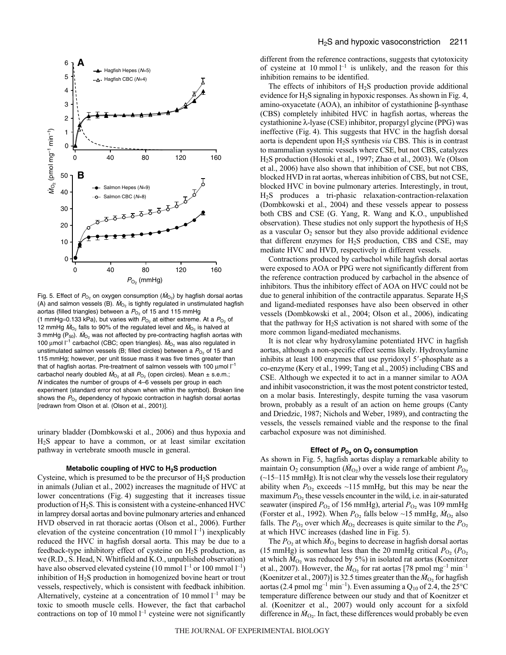

Fig. 5. Effect of  $P_{\text{O}_2}$  on oxygen consumption ( $\dot{M}_{\text{O}_2}$ ) by hagfish dorsal aortas (A) and salmon vessels (B).  $\dot{M}_{O_2}$  is tightly regulated in unstimulated hagfish aortas (filled triangles) between a  $P_{O_2}$  of 15 and 115 mmHg (1 mmHg=0.133 kPa), but varies with  $P_{\text{O}_2}$  at either extreme. At a  $P_{\text{O}_2}$  of 12 mmHg  $\dot{M}_{\text{O}_2}$  falls to 90% of the regulated level and  $\dot{M}_{\text{O}_2}$  is halved at 3 mmHg ( $P_{50}$ ).  $\dot{M}_{O_2}$  was not affected by pre-contracting hagfish aortas with 100 μmol  $I^{-1}$  carbachol (CBC; open triangles).  $M_{O_2}$  was also regulated in unstimulated salmon vessels (B; filled circles) between a  $P_{\text{O}_2}$  of 15 and 115 mmHg; however, per unit tissue mass it was five times greater than that of hagfish aortas. Pre-treatment of salmon vessels with 100  $\mu$ mol  $I^{-1}$ carbachol nearly doubled  $\dot{M}_{\text{O}_2}$  at all  $P_{\text{O}_2}$  (open circles). Mean  $\pm$  s.e.m.; N indicates the number of groups of 4–6 vessels per group in each experiment (standard error not shown when within the symbol). Broken line shows the  $P_{\text{O}_2}$  dependency of hypoxic contraction in hagfish dorsal aortas [redrawn from Olson et al. (Olson et al., 2001)].

urinary bladder (Dombkowski et al., 2006) and thus hypoxia and H2S appear to have a common, or at least similar excitation pathway in vertebrate smooth muscle in general.

#### **Metabolic coupling of HVC to H2S production**

Cysteine, which is presumed to be the precursor of  $H_2S$  production in animals (Julian et al., 2002) increases the magnitude of HVC at lower concentrations (Fig. 4) suggesting that it increases tissue production of H2S. This is consistent with a cysteine-enhanced HVC in lamprey dorsal aortas and bovine pulmonary arteries and enhanced HVD observed in rat thoracic aortas (Olson et al., 2006). Further elevation of the cysteine concentration  $(10 \text{ mmol l}^{-1})$  inexplicably reduced the HVC in hagfish dorsal aorta. This may be due to a feedback-type inhibitory effect of cysteine on  $H_2S$  production, as we (R.D., S. Head, N. Whitfield and K.O., unpublished observation) have also observed elevated cysteine (10 mmol  $l^{-1}$  or 100 mmol  $l^{-1}$ ) inhibition of H2S production in homogenized bovine heart or trout vessels, respectively, which is consistent with feedback inhibition. Alternatively, cysteine at a concentration of 10 mmol  $l^{-1}$  may be toxic to smooth muscle cells. However, the fact that carbachol contractions on top of 10 mmol  $l^{-1}$  cysteine were not significantly different from the reference contractions, suggests that cytotoxicity of cysteine at 10 mmol  $l^{-1}$  is unlikely, and the reason for this inhibition remains to be identified.

The effects of inhibitors of H2S production provide additional evidence for  $H_2S$  signaling in hypoxic responses. As shown in Fig. 4, amino-oxyacetate (AOA), an inhibitor of cystathionine β-synthase (CBS) completely inhibited HVC in hagfish aortas, whereas the cystathionine λ-lyase (CSE) inhibitor, propargyl glycine (PPG) was ineffective (Fig. 4). This suggests that HVC in the hagfish dorsal aorta is dependent upon H2S synthesis *via* CBS. This is in contrast to mammalian systemic vessels where CSE, but not CBS, catalyzes H2S production (Hosoki et al., 1997; Zhao et al., 2003). We (Olson et al., 2006) have also shown that inhibition of CSE, but not CBS, blocked HVD in rat aortas, whereas inhibition of CBS, but not CSE, blocked HVC in bovine pulmonary arteries. Interestingly, in trout, H2S produces a tri-phasic relaxation-contraction-relaxation (Dombkowski et al., 2004) and these vessels appear to possess both CBS and CSE (G. Yang, R. Wang and K.O., unpublished observation). These studies not only support the hypothesis of H2S as a vascular  $O_2$  sensor but they also provide additional evidence that different enzymes for H2S production, CBS and CSE, may mediate HVC and HVD, respectively in different vessels.

Contractions produced by carbachol while hagfish dorsal aortas were exposed to AOA or PPG were not significantly different from the reference contraction produced by carbachol in the absence of inhibitors. Thus the inhibitory effect of AOA on HVC could not be due to general inhibition of the contractile apparatus. Separate  $H_2S$ and ligand-mediated responses have also been observed in other vessels (Dombkowski et al., 2004; Olson et al., 2006), indicating that the pathway for  $H_2S$  activation is not shared with some of the more common ligand-mediated mechanisms.

It is not clear why hydroxylamine potentiated HVC in hagfish aortas, although a non-specific effect seems likely. Hydroxylamine inhibits at least 100 enzymes that use pyridoxyl 5'-phosphate as a co-enzyme (Kery et al., 1999; Tang et al., 2005) including CBS and CSE. Although we expected it to act in a manner similar to AOA and inhibit vasoconstriction, it was the most potent constrictor tested, on a molar basis. Interestingly, despite turning the vasa vasorum brown, probably as a result of an action on heme groups (Canty and Driedzic, 1987; Nichols and Weber, 1989), and contracting the vessels, the vessels remained viable and the response to the final carbachol exposure was not diminished.

# **Effect of PO**2 **on O2 consumption**

As shown in Fig. 5, hagfish aortas display a remarkable ability to maintain  $O_2$  consumption ( $\dot{M}_{O_2}$ ) over a wide range of ambient  $P_{O_2}$  $(\sim15-115$  mmHg). It is not clear why the vessels lose their regulatory ability when  $P_{O_2}$  exceeds ~115 mmHg, but this may be near the maximum  $P_{\text{O}_2}$  these vessels encounter in the wild, i.e. in air-saturated seawater (inspired  $P_{O_2}$  of 156 mmHg), arterial  $P_{O_2}$  was 109 mmHg (Forster et al., 1992). When  $P_{\text{O}_2}$  falls below ~15 mmHg,  $\dot{M}_{\text{O}_2}$  also falls. The  $P_{\text{O}_2}$  over which  $\dot{M}_{\text{O}_2}$  decreases is quite similar to the  $P_{\text{O}_2}$ at which HVC increases (dashed line in Fig. 5).

The  $P_{\text{O}_2}$  at which  $\dot{M}_{\text{O}_2}$  begins to decrease in hagfish dorsal aortas (15 mmHg) is somewhat less than the 20 mmHg critical  $P_{\text{O}_2}$  ( $P_{\text{O}_2}$ ) at which  $\dot{M}_{O_2}$  was reduced by 5%) in isolated rat aortas (Koenitzer et al., 2007). However, the  $\dot{M}_{O_2}$  for rat aortas [78 pmol mg<sup>-1</sup> min<sup>-1</sup> (Koenitzer et al., 2007)] is 32.5 times greater than the  $\dot{M}_{O_2}$  for hagfish aortas (2.4 pmol mg<sup>-1</sup> min<sup>-1</sup>). Even assuming a  $Q_{10}$  of 2.4, the 25°C temperature difference between our study and that of Koenitzer et al. (Koenitzer et al., 2007) would only account for a sixfold difference in  $\dot{M}_{\text{O}_2}$ . In fact, these differences would probably be even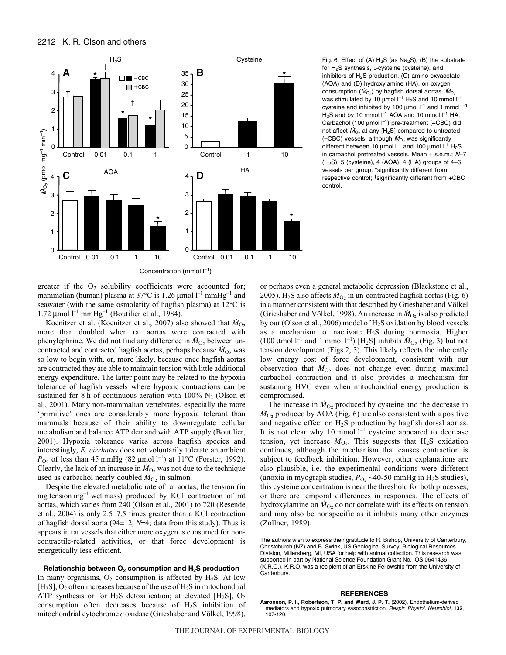

Fig. 6. Effect of (A)  $H_2S$  (as Na<sub>2</sub>S), (B) the substrate for H2S synthesis, L-cysteine (cysteine), and inhibitors of  $H_2S$  production, (C) amino-oxyacetate (AOA) and (D) hydroxylamine (HA), on oxygen consumption  $(M<sub>O<sub>2</sub></sub>)$  by hagfish dorsal aortas.  $M<sub>O<sub>2</sub></sub>$ was stimulated by 10  $\mu$ mol  $l^{-1}$  H<sub>2</sub>S and 10 mmol  $l^{-1}$ cysteine and inhibited by 100  $\mu$ mol  $I^{-1}$  and 1 mmol  $I^{-1}$  $H<sub>2</sub>S$  and by 10 mmol  $I<sup>-1</sup>$  AOA and 10 mmol  $I<sup>-1</sup>$  HA. Carbachol (100  $\mu$ mol  $I^{-1}$ ) pre-treatment (+CBC) did not affect  $\dot{M}_{\text{O}_2}$  at any [H<sub>2</sub>S] compared to untreated (-CBC) vessels, although  $\dot{M}_{O_2}$  was significantly different between 10  $\mu$ mol  $l^{-1}$  and 100  $\mu$ mol  $l^{-1}$  H<sub>2</sub>S in carbachol pretreated vessels. Mean + s.e.m.;  $N=7$  $(H<sub>2</sub>S)$ , 5 (cysteine), 4 (AOA), 4 (HA) groups of 4-6 vessels per group; \*significantly different from respective control; †significantly different from +CBC control.

greater if the  $O_2$  solubility coefficients were accounted for; mammalian (human) plasma at 37°C is 1.26  $\mu$ mol l<sup>-1</sup> mmHg<sup>-1</sup> and seawater (with the same osmolarity of hagfish plasma) at 12°C is 1.72 μmol<sup> $l^{-1}$ </sup> mmHg<sup>-1</sup> (Boutilier et al., 1984).

Koenitzer et al. (Koenitzer et al., 2007) also showed that  $\dot{M}_{O_2}$ more than doubled when rat aortas were contracted with phenylephrine. We did not find any difference in  $\dot{M}_{O_2}$  between uncontracted and contracted hagfish aortas, perhaps because  $M_{O_2}$  was so low to begin with, or, more likely, because once hagfish aortas are contracted they are able to maintain tension with little additional energy expenditure. The latter point may be related to the hypoxia tolerance of hagfish vessels where hypoxic contractions can be sustained for 8 h of continuous aeration with 100%  $N_2$  (Olson et al., 2001). Many non-mammalian vertebrates, especially the more 'primitive' ones are considerably more hypoxia tolerant than mammals because of their ability to downregulate cellular metabolism and balance ATP demand with ATP supply (Boutilier, 2001). Hypoxia tolerance varies across hagfish species and interestingly, *E. cirrhatus* does not voluntarily tolerate an ambient  $P_{\text{O}_2}$  of less than 45 mmHg (82 µmol<sup>-1</sup>) at 11<sup>o</sup>C (Forster, 1992). Clearly, the lack of an increase in  $\dot{M}_{O_2}$  was not due to the technique used as carbachol nearly doubled  $\dot{M}_{O_2}$  in salmon.

Despite the elevated metabolic rate of rat aortas, the tension (in mg tension  $mg^{-1}$  wet mass) produced by KCl contraction of rat aortas, which varies from 240 (Olson et al., 2001) to 720 (Resende et al., 2004) is only 2.5–7.5 times greater than a KCl contraction of hagfish dorsal aorta (94±12, *N*=4; data from this study). Thus is appears in rat vessels that either more oxygen is consumed for noncontractile-related activities, or that force development is energetically less efficient.

## Relationship between O<sub>2</sub> consumption and H<sub>2</sub>S production

In many organisms,  $O_2$  consumption is affected by H<sub>2</sub>S. At low  $[H_2S], O_2$  often increases because of the use of  $H_2S$  in mitochondrial ATP synthesis or for  $H_2S$  detoxification; at elevated [H<sub>2</sub>S],  $O_2$ consumption often decreases because of  $H_2S$  inhibition of mitochondrial cytochrome *c* oxidase (Grieshaber and Völkel, 1998), or perhaps even a general metabolic depression (Blackstone et al., 2005). H<sub>2</sub>S also affects  $\dot{M}_{O_2}$  in un-contracted hagfish aortas (Fig. 6) in a manner consistent with that described by Grieshaber and Völkel (Grieshaber and Völkel, 1998). An increase in  $\dot{M}_{O_2}$  is also predicted by our (Olson et al., 2006) model of H2S oxidation by blood vessels as a mechanism to inactivate H2S during normoxia. Higher (100 µmol  $l^{-1}$  and 1 mmol  $l^{-1}$ ) [H<sub>2</sub>S] inhibits  $\dot{M}_{O_2}$  (Fig. 3) but not tension development (Figs 2, 3). This likely reflects the inherently low energy cost of force development, consistent with our observation that  $\dot{M}_{\text{O}_2}$  does not change even during maximal carbachol contraction and it also provides a mechanism for sustaining HVC even when mitochondrial energy production is compromised.

The increase in  $\dot{M}_{O_2}$  produced by cysteine and the decrease in  $\dot{M}_{\text{O}_2}$  produced by AOA (Fig. 6) are also consistent with a positive and negative effect on H2S production by hagfish dorsal aortas. It is not clear why 10 mmol  $l^{-1}$  cysteine appeared to decrease tension, yet increase  $\dot{M}_{\text{O}_2}$ . This suggests that H<sub>2</sub>S oxidation continues, although the mechanism that causes contraction is subject to feedback inhibition. However, other explanations are also plausible, i.e. the experimental conditions were different (anoxia in myograph studies,  $P_{\text{O}_2}$  ~40-50 mmHg in H<sub>2</sub>S studies), this cysteine concentration is near the threshold for both processes, or there are temporal differences in responses. The effects of hydroxylamine on  $\dot{M}_{O_2}$  do not correlate with its effects on tension and may also be nonspecific as it inhibits many other enzymes (Zollner, 1989).

The authors wish to express their gratitude to R. Bishop, University of Canterbury, Christchurch (NZ) and B. Swink, US Geological Survey, Biological Resources Division, Millersberg, MI, USA for help with animal collection. This research was supported in part by National Science Foundation Grant No. IOS 0641436 (K.R.O.). K.R.O. was a recipient of an Erskine Fellowship from the University of Canterbury.

#### **REFERENCES**

**Aaronson, P. I., Robertson, T. P. and Ward, J. P. T.** (2002). Endothelium-derived mediators and hypoxic pulmonary vasoconstriction. Respir. Physiol. Neurobiol. **132**, 107-120.